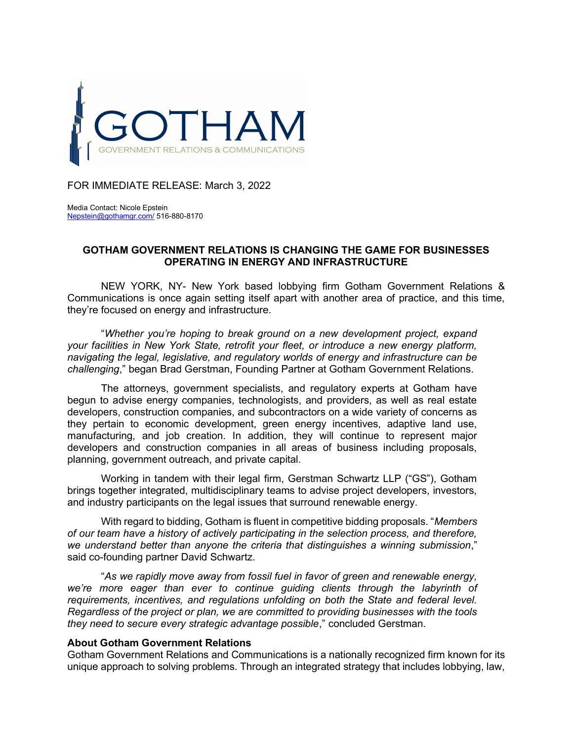

FOR IMMEDIATE RELEASE: March 3, 2022

Media Contact: Nicole Epstein Nepstein@gothamgr.com/ 516-880-8170

## GOTHAM GOVERNMENT RELATIONS IS CHANGING THE GAME FOR BUSINESSES OPERATING IN ENERGY AND INFRASTRUCTURE

NEW YORK, NY- New York based lobbying firm Gotham Government Relations & Communications is once again setting itself apart with another area of practice, and this time, they're focused on energy and infrastructure.

"Whether you're hoping to break ground on a new development project, expand your facilities in New York State, retrofit your fleet, or introduce a new energy platform, navigating the legal, legislative, and regulatory worlds of energy and infrastructure can be challenging," began Brad Gerstman, Founding Partner at Gotham Government Relations.

The attorneys, government specialists, and regulatory experts at Gotham have begun to advise energy companies, technologists, and providers, as well as real estate developers, construction companies, and subcontractors on a wide variety of concerns as they pertain to economic development, green energy incentives, adaptive land use, manufacturing, and job creation. In addition, they will continue to represent major developers and construction companies in all areas of business including proposals, planning, government outreach, and private capital.

Working in tandem with their legal firm, Gerstman Schwartz LLP ("GS"), Gotham brings together integrated, multidisciplinary teams to advise project developers, investors, and industry participants on the legal issues that surround renewable energy.

With regard to bidding, Gotham is fluent in competitive bidding proposals. "Members" of our team have a history of actively participating in the selection process, and therefore, we understand better than anyone the criteria that distinguishes a winning submission," said co-founding partner David Schwartz.

"As we rapidly move away from fossil fuel in favor of green and renewable energy, we're more eager than ever to continue guiding clients through the labyrinth of requirements, incentives, and regulations unfolding on both the State and federal level. Regardless of the project or plan, we are committed to providing businesses with the tools they need to secure every strategic advantage possible," concluded Gerstman.

## About Gotham Government Relations

Gotham Government Relations and Communications is a nationally recognized firm known for its unique approach to solving problems. Through an integrated strategy that includes lobbying, law,